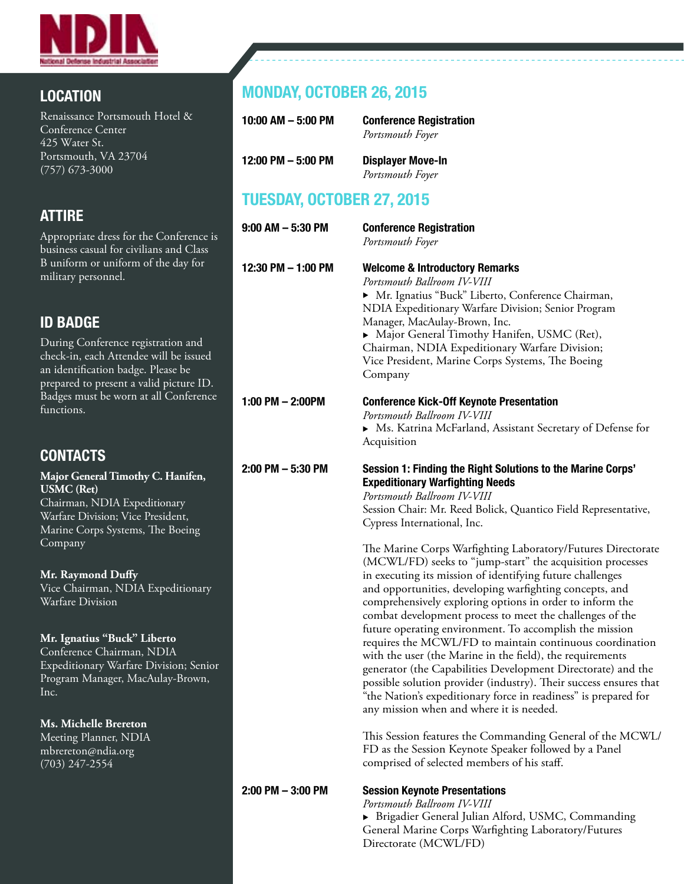

## LOCATION

Renaissance Portsmouth Hotel & Conference Center 425 Water St. Portsmouth, VA 23704 (757) 673-3000

## ATTIRE

Appropriate dress for the Conference is business casual for civilians and Class B uniform or uniform of the day for military personnel.

## ID BADGE

During Conference registration and check-in, each Attendee will be issued an identification badge. Please be prepared to present a valid picture ID. Badges must be worn at all Conference functions.

## **CONTACTS**

**Major General Timothy C. Hanifen, USMC (Ret)**  Chairman, NDIA Expeditionary Warfare Division; Vice President, Marine Corps Systems, The Boeing Company

#### **Mr. Raymond Duffy**

Vice Chairman, NDIA Expeditionary Warfare Division

#### **Mr. Ignatius "Buck" Liberto**

Conference Chairman, NDIA Expeditionary Warfare Division; Senior Program Manager, MacAulay-Brown, Inc.

#### **Ms. Michelle Brereton**

Meeting Planner, NDIA mbrereton@ndia.org (703) 247-2554

# MONDAY, OCTOBER 26, 2015

| 10:00 AM $-$ 5:00 PM | <b>Conference Registration</b><br>Portsmouth Foyer |
|----------------------|----------------------------------------------------|
| 12:00 PM $-$ 5:00 PM | <b>Displayer Move-In</b><br>Portsmouth Foyer       |

## TUESDAY, OCTOBER 27, 2015

| $9:00$ AM $-5:30$ PM  | <b>Conference Registration</b><br>Portsmouth Foyer                                                                                                                                                                                                                                                                                                                                                                                                                                                                                                                                                                                                                                                                                                                                                                                                                                                                                                                                                                                                                                                                                                                                                                             |
|-----------------------|--------------------------------------------------------------------------------------------------------------------------------------------------------------------------------------------------------------------------------------------------------------------------------------------------------------------------------------------------------------------------------------------------------------------------------------------------------------------------------------------------------------------------------------------------------------------------------------------------------------------------------------------------------------------------------------------------------------------------------------------------------------------------------------------------------------------------------------------------------------------------------------------------------------------------------------------------------------------------------------------------------------------------------------------------------------------------------------------------------------------------------------------------------------------------------------------------------------------------------|
| 12:30 PM - 1:00 PM    | <b>Welcome &amp; Introductory Remarks</b><br>Portsmouth Ballroom IV-VIII<br>> Mr. Ignatius "Buck" Liberto, Conference Chairman,<br>NDIA Expeditionary Warfare Division; Senior Program<br>Manager, MacAulay-Brown, Inc.<br>Major General Timothy Hanifen, USMC (Ret),<br>Chairman, NDIA Expeditionary Warfare Division;<br>Vice President, Marine Corps Systems, The Boeing<br>Company                                                                                                                                                                                                                                                                                                                                                                                                                                                                                                                                                                                                                                                                                                                                                                                                                                         |
| $1:00$ PM $- 2:00$ PM | <b>Conference Kick-Off Keynote Presentation</b><br>Portsmouth Ballroom IV-VIII<br>▶ Ms. Katrina McFarland, Assistant Secretary of Defense for<br>Acquisition                                                                                                                                                                                                                                                                                                                                                                                                                                                                                                                                                                                                                                                                                                                                                                                                                                                                                                                                                                                                                                                                   |
| $2:00$ PM $-5:30$ PM  | Session 1: Finding the Right Solutions to the Marine Corps'<br><b>Expeditionary Warfighting Needs</b><br>Portsmouth Ballroom IV-VIII<br>Session Chair: Mr. Reed Bolick, Quantico Field Representative,<br>Cypress International, Inc.<br>The Marine Corps Warfighting Laboratory/Futures Directorate<br>(MCWL/FD) seeks to "jump-start" the acquisition processes<br>in executing its mission of identifying future challenges<br>and opportunities, developing warfighting concepts, and<br>comprehensively exploring options in order to inform the<br>combat development process to meet the challenges of the<br>future operating environment. To accomplish the mission<br>requires the MCWL/FD to maintain continuous coordination<br>with the user (the Marine in the field), the requirements<br>generator (the Capabilities Development Directorate) and the<br>possible solution provider (industry). Their success ensures that<br>"the Nation's expeditionary force in readiness" is prepared for<br>any mission when and where it is needed.<br>This Session features the Commanding General of the MCWL/<br>FD as the Session Keynote Speaker followed by a Panel<br>comprised of selected members of his staff. |
| $2:00$ PM $-3:00$ PM  | <b>Session Keynote Presentations</b><br>Portsmouth Ballroom IV-VIII<br>Brigadier General Julian Alford, USMC, Commanding                                                                                                                                                                                                                                                                                                                                                                                                                                                                                                                                                                                                                                                                                                                                                                                                                                                                                                                                                                                                                                                                                                       |

 General Marine Corps Warfighting Laboratory/Futures Directorate (MCWL/FD)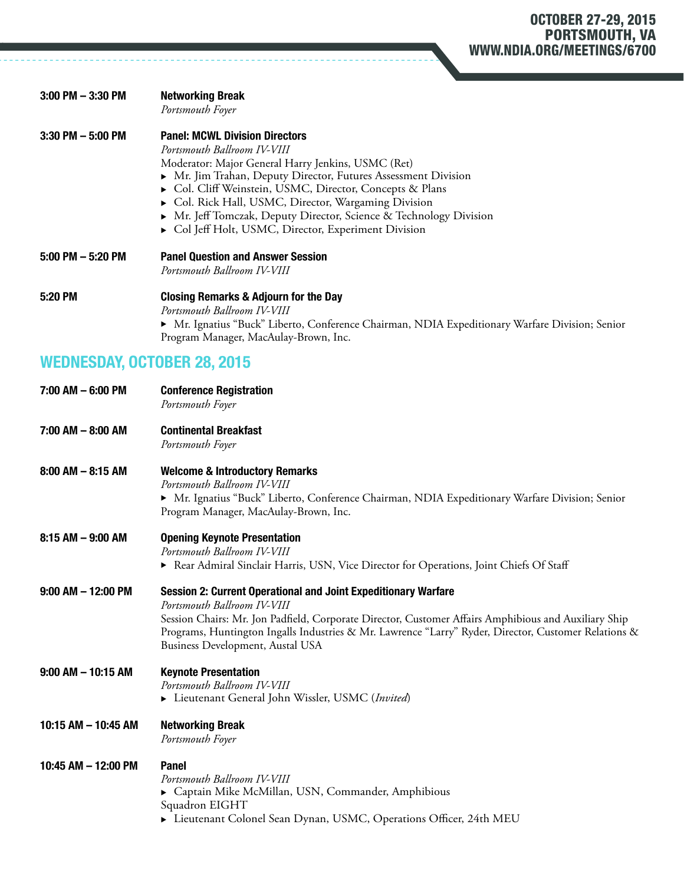| $3:00$ PM $-3:30$ PM | <b>Networking Break</b><br>Portsmouth Foyer                                                                                                                                                                                                                                                                                                                                                                                                |
|----------------------|--------------------------------------------------------------------------------------------------------------------------------------------------------------------------------------------------------------------------------------------------------------------------------------------------------------------------------------------------------------------------------------------------------------------------------------------|
| $3:30$ PM $-5:00$ PM | <b>Panel: MCWL Division Directors</b><br>Portsmouth Ballroom IV-VIII<br>Moderator: Major General Harry Jenkins, USMC (Ret)<br>• Mr. Jim Trahan, Deputy Director, Futures Assessment Division<br>► Col. Cliff Weinstein, USMC, Director, Concepts & Plans<br>Col. Rick Hall, USMC, Director, Wargaming Division<br>• Mr. Jeff Tomczak, Deputy Director, Science & Technology Division<br>Col Jeff Holt, USMC, Director, Experiment Division |
| $5:00$ PM $-5:20$ PM | <b>Panel Question and Answer Session</b><br>Portsmouth Ballroom IV-VIII                                                                                                                                                                                                                                                                                                                                                                    |
| 5:20 PM              | <b>Closing Remarks &amp; Adjourn for the Day</b><br>Portsmouth Ballroom IV-VIII<br>▶ Mr. Ignatius "Buck" Liberto, Conference Chairman, NDIA Expeditionary Warfare Division; Senior<br>Program Manager, MacAulay-Brown, Inc.                                                                                                                                                                                                                |

# WEDNESDAY, OCTOBER 28, 2015

| 7:00 AM - 6:00 PM      | <b>Conference Registration</b><br>Portsmouth Foyer                                                                                                                                                                                                                                                                                                       |
|------------------------|----------------------------------------------------------------------------------------------------------------------------------------------------------------------------------------------------------------------------------------------------------------------------------------------------------------------------------------------------------|
| 7:00 AM - 8:00 AM      | <b>Continental Breakfast</b><br>Portsmouth Foyer                                                                                                                                                                                                                                                                                                         |
| $8:00$ AM $-$ 8:15 AM  | <b>Welcome &amp; Introductory Remarks</b><br>Portsmouth Ballroom IV-VIII<br>Mr. Ignatius "Buck" Liberto, Conference Chairman, NDIA Expeditionary Warfare Division; Senior<br>Program Manager, MacAulay-Brown, Inc.                                                                                                                                       |
| $8:15$ AM $-$ 9:00 AM  | <b>Opening Keynote Presentation</b><br>Portsmouth Ballroom IV-VIII<br>Rear Admiral Sinclair Harris, USN, Vice Director for Operations, Joint Chiefs Of Staff                                                                                                                                                                                             |
| $9:00$ AM $-$ 12:00 PM | <b>Session 2: Current Operational and Joint Expeditionary Warfare</b><br>Portsmouth Ballroom IV-VIII<br>Session Chairs: Mr. Jon Padfield, Corporate Director, Customer Affairs Amphibious and Auxiliary Ship<br>Programs, Huntington Ingalls Industries & Mr. Lawrence "Larry" Ryder, Director, Customer Relations &<br>Business Development, Austal USA |
| $9:00$ AM $-$ 10:15 AM | <b>Keynote Presentation</b><br>Portsmouth Ballroom IV-VIII<br>Eieutenant General John Wissler, USMC (Invited)                                                                                                                                                                                                                                            |
| 10:15 AM - 10:45 AM    | <b>Networking Break</b><br>Portsmouth Foyer                                                                                                                                                                                                                                                                                                              |
| 10:45 AM - 12:00 PM    | <b>Panel</b><br>Portsmouth Ballroom IV-VIII<br>Captain Mike McMillan, USN, Commander, Amphibious<br>Squadron EIGHT<br>► Lieutenant Colonel Sean Dynan, USMC, Operations Officer, 24th MEU                                                                                                                                                                |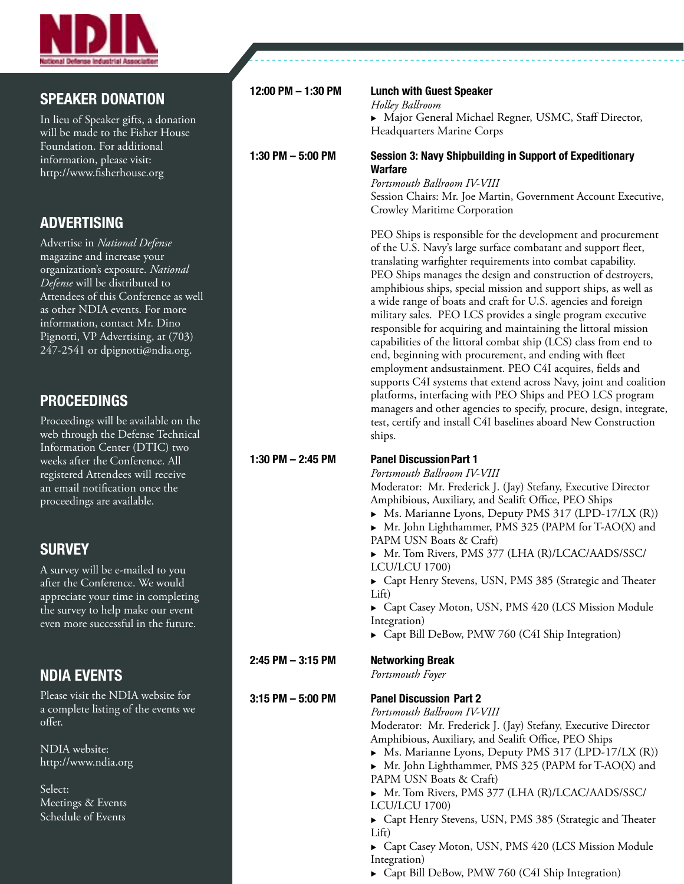

#### SPEAKER DONATION

In lieu of Speaker gifts, a donation will be made to the Fisher House Foundation. For additional information, please visit: http://www.fisherhouse.org

### ADVERTISING

Advertise in *National Defense* magazine and increase your organization's exposure. *National Defense* will be distributed to Attendees of this Conference as well as other NDIA events. For more information, contact Mr. Dino Pignotti, VP Advertising, at (703) 247-2541 or dpignotti@ndia.org.

### PROCEEDINGS

Proceedings will be available on the web through the Defense Technical Information Center (DTIC) two weeks after the Conference. All registered Attendees will receive an email notification once the proceedings are available.

### **SURVEY**

A survey will be e-mailed to you after the Conference. We would appreciate your time in completing the survey to help make our event even more successful in the future.

### NDIA EVENTS

Please visit the NDIA website for a complete listing of the events we offer.

NDIA website: http://www.ndia.org

Select: Meetings & Events Schedule of Events

| 12:00 PM - 1:30 PM   | <b>Lunch with Guest Speaker</b><br>Holley Ballroom<br>Major General Michael Regner, USMC, Staff Director,<br>Headquarters Marine Corps                                                                                                                                                                                                                                                                                                                                                                                                                                                                                                                                                                                                                                                                                                                                                                                                                                                                           |
|----------------------|------------------------------------------------------------------------------------------------------------------------------------------------------------------------------------------------------------------------------------------------------------------------------------------------------------------------------------------------------------------------------------------------------------------------------------------------------------------------------------------------------------------------------------------------------------------------------------------------------------------------------------------------------------------------------------------------------------------------------------------------------------------------------------------------------------------------------------------------------------------------------------------------------------------------------------------------------------------------------------------------------------------|
| 1:30 PM $-$ 5:00 PM  | <b>Session 3: Navy Shipbuilding in Support of Expeditionary</b><br><b>Warfare</b><br>Portsmouth Ballroom IV-VIII<br>Session Chairs: Mr. Joe Martin, Government Account Executive,<br>Crowley Maritime Corporation                                                                                                                                                                                                                                                                                                                                                                                                                                                                                                                                                                                                                                                                                                                                                                                                |
|                      | PEO Ships is responsible for the development and procurement<br>of the U.S. Navy's large surface combatant and support fleet,<br>translating warfighter requirements into combat capability.<br>PEO Ships manages the design and construction of destroyers,<br>amphibious ships, special mission and support ships, as well as<br>a wide range of boats and craft for U.S. agencies and foreign<br>military sales. PEO LCS provides a single program executive<br>responsible for acquiring and maintaining the littoral mission<br>capabilities of the littoral combat ship (LCS) class from end to<br>end, beginning with procurement, and ending with fleet<br>employment andsustainment. PEO C4I acquires, fields and<br>supports C4I systems that extend across Navy, joint and coalition<br>platforms, interfacing with PEO Ships and PEO LCS program<br>managers and other agencies to specify, procure, design, integrate,<br>test, certify and install C4I baselines aboard New Construction<br>ships. |
| 1:30 PM $-$ 2:45 PM  | <b>Panel Discussion Part 1</b><br>Portsmouth Ballroom IV-VIII<br>Moderator: Mr. Frederick J. (Jay) Stefany, Executive Director<br>Amphibious, Auxiliary, and Sealift Office, PEO Ships<br>• Ms. Marianne Lyons, Deputy PMS 317 (LPD-17/LX (R))<br>Mr. John Lighthammer, PMS 325 (PAPM for T-AO(X) and<br>PAPM USN Boats & Craft)<br>Mr. Tom Rivers, PMS 377 (LHA (R)/LCAC/AADS/SSC/<br>LCU/LCU 1700)<br>Capt Henry Stevens, USN, PMS 385 (Strategic and Theater<br>Lift)<br>Capt Casey Moton, USN, PMS 420 (LCS Mission Module<br>Integration)                                                                                                                                                                                                                                                                                                                                                                                                                                                                   |
| $2:45$ PM $-3:15$ PM | Capt Bill DeBow, PMW 760 (C4I Ship Integration)<br><b>Networking Break</b><br>Portsmouth Foyer                                                                                                                                                                                                                                                                                                                                                                                                                                                                                                                                                                                                                                                                                                                                                                                                                                                                                                                   |
| $3:15$ PM $-5:00$ PM | <b>Panel Discussion Part 2</b><br>Portsmouth Ballroom IV-VIII<br>Moderator: Mr. Frederick J. (Jay) Stefany, Executive Director<br>Amphibious, Auxiliary, and Sealift Office, PEO Ships<br>Ms. Marianne Lyons, Deputy PMS 317 (LPD-17/LX (R))<br>Mr. John Lighthammer, PMS 325 (PAPM for T-AO(X) and<br>PAPM USN Boats & Craft)<br>Mr. Tom Rivers, PMS 377 (LHA (R)/LCAC/AADS/SSC/<br>LCU/LCU 1700)<br>Capt Henry Stevens, USN, PMS 385 (Strategic and Theater<br>Liff)<br>Capt Casey Moton, USN, PMS 420 (LCS Mission Module                                                                                                                                                                                                                                                                                                                                                                                                                                                                                     |

 Integration) ▶ Capt Bill DeBow, PMW 760 (C4I Ship Integration)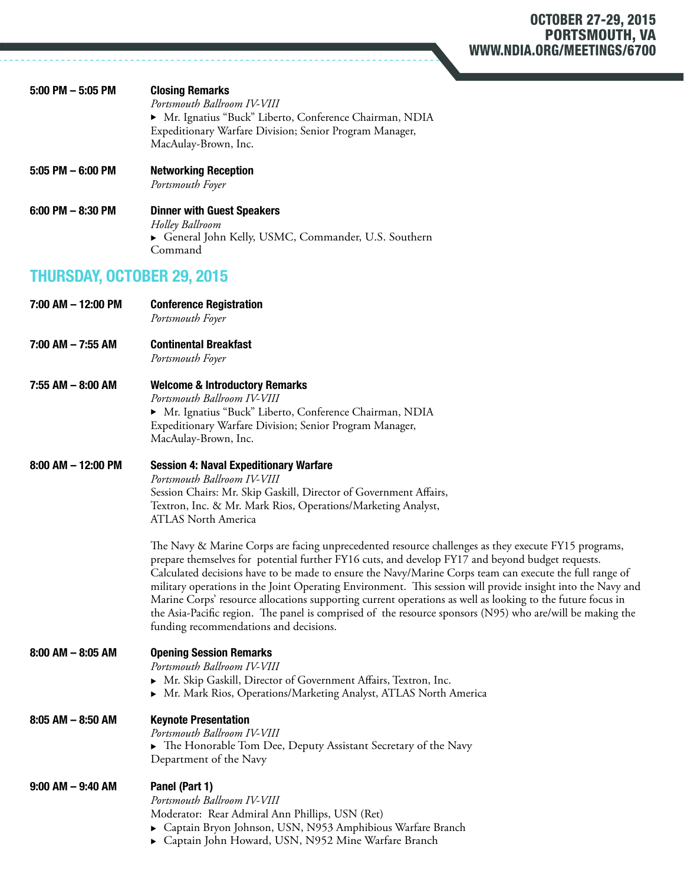#### OCTOBER 27-29, 2015 PORTSMOUTH, VA WWW.NDIA.ORG/MEETINGS/6700

|                                   | Expeditionary Warfare Division; Senior Program Manager,<br>MacAulay-Brown, Inc.                                                                                                                                                                                                                                                                                                                                                                                                                                                                                                                                                                                                                        |
|-----------------------------------|--------------------------------------------------------------------------------------------------------------------------------------------------------------------------------------------------------------------------------------------------------------------------------------------------------------------------------------------------------------------------------------------------------------------------------------------------------------------------------------------------------------------------------------------------------------------------------------------------------------------------------------------------------------------------------------------------------|
| 5:05 PM - 6:00 PM                 | <b>Networking Reception</b><br>Portsmouth Foyer                                                                                                                                                                                                                                                                                                                                                                                                                                                                                                                                                                                                                                                        |
| 6:00 PM - 8:30 PM                 | <b>Dinner with Guest Speakers</b><br>Holley Ballroom<br>General John Kelly, USMC, Commander, U.S. Southern<br>Command                                                                                                                                                                                                                                                                                                                                                                                                                                                                                                                                                                                  |
| <b>THURSDAY, OCTOBER 29, 2015</b> |                                                                                                                                                                                                                                                                                                                                                                                                                                                                                                                                                                                                                                                                                                        |
| 7:00 AM - 12:00 PM                | <b>Conference Registration</b><br>Portsmouth Foyer                                                                                                                                                                                                                                                                                                                                                                                                                                                                                                                                                                                                                                                     |
| 7:00 AM - 7:55 AM                 | <b>Continental Breakfast</b><br>Portsmouth Foyer                                                                                                                                                                                                                                                                                                                                                                                                                                                                                                                                                                                                                                                       |
| 7:55 AM - 8:00 AM                 | <b>Welcome &amp; Introductory Remarks</b><br>Portsmouth Ballroom IV-VIII<br>Mr. Ignatius "Buck" Liberto, Conference Chairman, NDIA<br>Expeditionary Warfare Division; Senior Program Manager,<br>MacAulay-Brown, Inc.                                                                                                                                                                                                                                                                                                                                                                                                                                                                                  |
| 8:00 AM – 12:00 PM                | <b>Session 4: Naval Expeditionary Warfare</b><br>Portsmouth Ballroom IV-VIII<br>Session Chairs: Mr. Skip Gaskill, Director of Government Affairs,<br>Textron, Inc. & Mr. Mark Rios, Operations/Marketing Analyst,<br><b>ATLAS North America</b>                                                                                                                                                                                                                                                                                                                                                                                                                                                        |
|                                   | The Navy & Marine Corps are facing unprecedented resource challenges as they execute FY15 programs,<br>prepare themselves for potential further FY16 cuts, and develop FY17 and beyond budget requests.<br>Calculated decisions have to be made to ensure the Navy/Marine Corps team can execute the full range of<br>military operations in the Joint Operating Environment. This session will provide insight into the Navy and<br>Marine Corps' resource allocations supporting current operations as well as looking to the future focus in<br>the Asia-Pacific region. The panel is comprised of the resource sponsors (N95) who are/will be making the<br>funding recommendations and decisions. |
| 8:00 AM – 8:05 AM                 | <b>Opening Session Remarks</b><br>Portsmouth Ballroom IV-VIII<br>Mr. Skip Gaskill, Director of Government Affairs, Textron, Inc.<br>▶ Mr. Mark Rios, Operations/Marketing Analyst, ATLAS North America                                                                                                                                                                                                                                                                                                                                                                                                                                                                                                 |
| 8:05 AM – 8:50 AM                 | <b>Keynote Presentation</b><br>Portsmouth Ballroom IV-VIII<br>$\triangleright$ The Honorable Tom Dee, Deputy Assistant Secretary of the Navy<br>Department of the Navy                                                                                                                                                                                                                                                                                                                                                                                                                                                                                                                                 |
| 9:00 AM – 9:40 AM                 | Panel (Part 1)<br>Portsmouth Ballroom IV-VIII<br>Moderator: Rear Admiral Ann Phillips, USN (Ret)<br>Captain Bryon Johnson, USN, N953 Amphibious Warfare Branch<br>Captain John Howard, USN, N952 Mine Warfare Branch                                                                                                                                                                                                                                                                                                                                                                                                                                                                                   |

5:00 PM – 5:05 PM Closing Remarks

*Portsmouth Ballroom IV-VIII* ▶ Mr. Ignatius "Buck" Liberto, Conference Chairman, NDIA